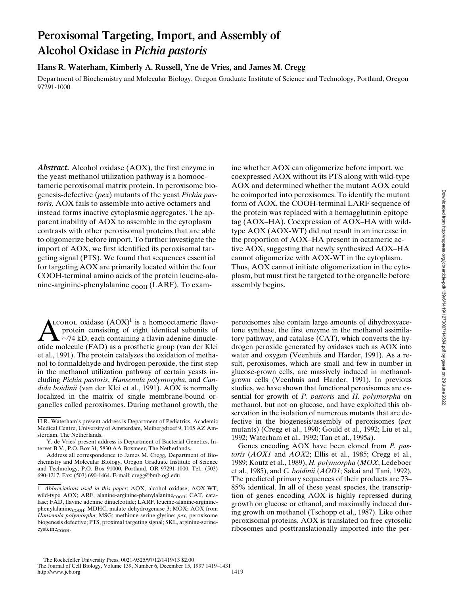# **Peroxisomal Targeting, Import, and Assembly of Alcohol Oxidase in** *Pichia pastoris*

**Hans R. Waterham, Kimberly A. Russell, Yne de Vries, and James M. Cregg**

Department of Biochemistry and Molecular Biology, Oregon Graduate Institute of Science and Technology, Portland, Oregon 97291-1000

*Abstract.* Alcohol oxidase (AOX), the first enzyme in the yeast methanol utilization pathway is a homooctameric peroxisomal matrix protein. In peroxisome biogenesis-defective (*pex*) mutants of the yeast *Pichia pastoris*, AOX fails to assemble into active octamers and instead forms inactive cytoplasmic aggregates. The apparent inability of AOX to assemble in the cytoplasm contrasts with other peroxisomal proteins that are able to oligomerize before import. To further investigate the import of AOX, we first identified its peroxisomal targeting signal (PTS). We found that sequences essential for targeting AOX are primarily located within the four COOH-terminal amino acids of the protein leucine-alanine-arginine-phenylalanine  $_{\text{COOH}}$  (LARF). To examine whether AOX can oligomerize before import, we coexpressed AOX without its PTS along with wild-type AOX and determined whether the mutant AOX could be coimported into peroxisomes. To identify the mutant form of AOX, the COOH-terminal LARF sequence of the protein was replaced with a hemagglutinin epitope tag (AOX–HA). Coexpression of AOX–HA with wildtype AOX (AOX-WT) did not result in an increase in the proportion of AOX–HA present in octameric active AOX, suggesting that newly synthesized AOX–HA cannot oligomerize with AOX-WT in the cytoplasm. Thus, AOX cannot initiate oligomerization in the cytoplasm, but must first be targeted to the organelle before assembly begins.

ALCOHOL oxidase (AOX)<sup>1</sup> is a homooctameric flavoprotein consisting of eight identical subunits of  $\sim$ 74 kD, each containing a flavin adenine dinucleotide molecule (FAD) as a prosthetic group (van der Klei LCOHOL oxidase  $(AOX)^1$  is a homooctameric flavoprotein consisting of eight identical subunits of  $\sim$ 74 kD, each containing a flavin adenine dinucleet al., 1991). The protein catalyzes the oxidation of methanol to formaldehyde and hydrogen peroxide, the first step in the methanol utilization pathway of certain yeasts including *Pichia pastoris*, *Hansenula polymorpha*, and *Candida boidinii* (van der Klei et al., 1991). AOX is normally localized in the matrix of single membrane-bound organelles called peroxisomes. During methanol growth, the

peroxisomes also contain large amounts of dihydroxyacetone synthase, the first enzyme in the methanol assimilatory pathway, and catalase (CAT), which converts the hydrogen peroxide generated by oxidases such as AOX into water and oxygen (Veenhuis and Harder, 1991). As a result, peroxisomes, which are small and few in number in glucose-grown cells, are massively induced in methanolgrown cells (Veenhuis and Harder, 1991). In previous studies, we have shown that functional peroxisomes are essential for growth of *P. pastoris* and *H. polymorpha* on methanol, but not on glucose, and have exploited this observation in the isolation of numerous mutants that are defective in the biogenesis/assembly of peroxisomes (*pex* mutants) (Cregg et al., 1990; Gould et al., 1992; Liu et al., 1992; Waterham et al., 1992; Tan et al., 1995*a*).

Genes encoding AOX have been cloned from *P. pastoris* (*AOX1* and *AOX2*; Ellis et al., 1985; Cregg et al., 1989; Koutz et al., 1989), *H. polymorpha* (*MOX*; Ledeboer et al., 1985), and *C. boidinii* (*AOD1*; Sakai and Tani, 1992). The predicted primary sequences of their products are 73– 85% identical. In all of these yeast species, the transcription of genes encoding AOX is highly repressed during growth on glucose or ethanol, and maximally induced during growth on methanol (Tschopp et al., 1987). Like other peroxisomal proteins, AOX is translated on free cytosolic ribosomes and posttranslationally imported into the per-

H.R. Waterham's present address is Department of Pediatrics, Academic Medical Centre, University of Amsterdam, Meibergdreef 9, 1105 AZ Amsterdam, The Netherlands.

Y. de Vries' present address is Department of Bacterial Genetics, Intervet B.V., P.O. Box 31, 5830 AA Boxmeer, The Netherlands.

Address all correspondence to James M. Cregg, Department of Biochemistry and Molecular Biology, Oregon Graduate Institute of Science and Technology, P.O. Box 91000, Portland, OR 97291-1000. Tel.: (503) 690-1217. Fax: (503) 690-1464. E-mail: cregg@bmb.ogi.edu

<sup>1.</sup> *Abbreviations used in this paper*: AOX, alcohol oxidase; AOX-WT, wild-type AOX; ARF, alanine-arginine-phenylalanine<sub>COOH</sub>; CAT, catalase; FAD, flavine adenine dinucleotide; LARF, leucine-alanine-argininephenylalanine<sub>COOH</sub>; MDHC, malate dehydrogenase 3; MOX; AOX from *Hansenula polymorpha*; MSG; methione-serine-glysine; *pex*, peroxisome biogenesis defective; PTS, proximal targeting signal; SKL, arginine-serinecysteine<sub>COOH</sub>.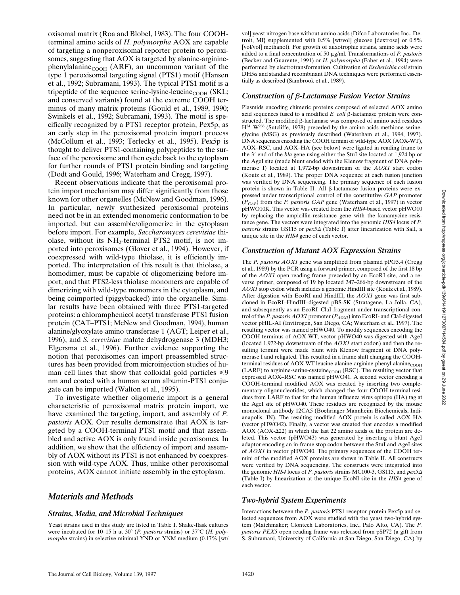oxisomal matrix (Roa and Blobel, 1983). The four COOHterminal amino acids of *H. polymorpha* AOX are capable of targeting a nonperoxisomal reporter protein to peroxisomes, suggesting that AOX is targeted by alanine-argininephenylalanine<sub>COOH</sub> (ARF), an uncommon variant of the type 1 peroxisomal targeting signal (PTS1) motif (Hansen et al., 1992; Subramani, 1993). The typical PTS1 motif is a tripeptide of the sequence serine-lysine-leucine $_{\rm COOH}$  (SKL; and conserved variants) found at the extreme COOH terminus of many matrix proteins (Gould et al., 1989, 1990; Swinkels et al., 1992; Subramani, 1993). The motif is specifically recognized by a PTS1 receptor protein, Pex5p, as an early step in the peroxisomal protein import process (McCollum et al., 1993; Terlecky et al., 1995). Pex5p is thought to deliver PTS1-containing polypeptides to the surface of the peroxisome and then cycle back to the cytoplasm for further rounds of PTS1 protein binding and targeting (Dodt and Gould, 1996; Waterham and Cregg, 1997).

Recent observations indicate that the peroxisomal protein import mechanism may differ significantly from those known for other organelles (McNew and Goodman, 1996). In particular, newly synthesized peroxisomal proteins need not be in an extended monomeric conformation to be imported, but can assemble/oligomerize in the cytoplasm before import. For example, *Saccharomyces cerevisiae* thiolase, without its  $NH<sub>2</sub>$ -terminal PTS2 motif, is not imported into peroxisomes (Glover et al., 1994). However, if coexpressed with wild-type thiolase, it is efficiently imported. The interpretation of this result is that thiolase, a homodimer, must be capable of oligomerizing before import, and that PTS2-less thiolase monomers are capable of dimerizing with wild-type monomers in the cytoplasm, and being coimported (piggybacked) into the organelle. Similar results have been obtained with three PTS1-targeted proteins: a chloramphenicol acetyl transferase PTS1 fusion protein (CAT–PTS1; McNew and Goodman, 1994), human alanine/glyoxylate amino transferase 1 (AGT; Leiper et al., 1996), and *S. cerevisiae* malate dehydrogenase 3 (MDH3; Elgersma et al., 1996). Further evidence supporting the notion that peroxisomes can import preassembled structures has been provided from microinjection studies of human cell lines that show that colloidal gold particles  $\leq 9$ nm and coated with a human serum albumin-PTS1 conjugate can be imported (Walton et al., 1995).

To investigate whether oligomeric import is a general characteristic of peroxisomal matrix protein import, we have examined the targeting, import, and assembly of *P. pastoris* AOX. Our results demonstrate that AOX is targeted by a COOH-terminal PTS1 motif and that assembled and active AOX is only found inside peroxisomes. In addition, we show that the efficiency of import and assembly of AOX without its PTS1 is not enhanced by coexpression with wild-type AOX. Thus, unlike other peroxisomal proteins, AOX cannot initiate assembly in the cytoplasm.

# *Materials and Methods*

## *Strains, Media, and Microbial Techniques*

Yeast strains used in this study are listed in Table I. Shake-flask cultures were incubated for 10–15 h at 30° (*P. pastoris* strains) or 37°C (*H. polymorpha* strains) in selective minimal YND or YNM medium (0.17% [wt/

vol] yeast nitrogen base without amino acids {Difco Laboratories Inc., Detroit, MI} supplemented with 0.5% [wt/vol] glucose [dextrose] or 0.5% [vol/vol] methanol). For growth of auxotrophic strains, amino acids were added to a final concentration of 50 mg/ml. Transformations of *P. pastoris* (Becker and Guarente, 1991) or *H. polymorpha* (Faber et al., 1994) were performed by electrotransformation. Cultivation of *Escherichia coli* strain  $\text{DH5}\alpha$  and standard recombinant DNA techniques were performed essentially as described (Sambrook et al., 1989).

#### *Construction of* b*-Lactamase Fusion Vector Strains*

Plasmids encoding chimeric proteins composed of selected AOX amino acid sequences fused to a modified *E. coli*  $\beta$ -lactamase protein were constructed. The modified  $\beta$ -lactamase was composed of amino acid residues  $H<sup>24</sup>–W<sup>286</sup>$  (Sutcliffe, 1978) preceded by the amino acids methione-serineglycine (MSG) as previously described (Waterham et al., 1994, 1997). DNA sequences encoding the COOH termini of wild-type AOX (AOX-WT), AOX–RSC, and AOX–HA (see below) were ligated in reading frame to the 3' end of the *bla* gene using either the StuI site located at 1,924 bp or the AgeI site (made blunt ended with the Klenow fragment of DNA polymerase I) located at 1,972-bp downstream of the *AOX1* start codon (Koutz et al., 1989). The proper DNA sequence at each fusion junction was verified by DNA sequencing. The primary sequence of each fusion protein is shown in Table II. All  $\beta$ -lactamase fusion proteins were expressed under transcriptional control of the constitutive *GAP* promoter (*PGAP*) from the *P. pastoris GAP* gene (Waterham et al., 1997) in vector pHWO10K. This vector was created from the *HIS4*-based vector pHWO10 by replacing the ampicillin-resistance gene with the kanamycine-resistance gene. The vectors were integrated into the genomic *HIS4* locus of *P. pastoris* strains GS115 or *pex5* $\Delta$  (Table I) after linearization with SalI, a unique site in the *HIS4* gene of each vector.

#### *Construction of Mutant AOX Expression Strains*

The *P. pastoris AOX1* gene was amplified from plasmid pPG5.4 (Cregg et al., 1989) by the PCR using a forward primer, composed of the first 18 bp of the *AOX1* open reading frame preceded by an EcoRI site, and a reverse primer, composed of 19 bp located 247–266-bp downstream of the *AOX1* stop codon which includes a genomic HindIII site (Koutz et al., 1989). After digestion with EcoRI and HindIII, the *AOX1* gene was first subcloned in EcoRI–HindIII–digested pBS-SK (Stratagene, La Jolla, CA), and subsequently as an EcoRI–ClaI fragment under transcriptional control of the *P. pastoris AOX1* promoter ( $P_{AOXI}$ ) into EcoRI- and ClaI-digested vector pHIL-AI (Invitrogen, San Diego, CA; Waterham et al., 1997). The resulting vector was named pHWO40. To modify sequences encoding the COOH terminus of AOX-WT, vector pHWO40 was digested with AgeI (located 1,972-bp downstream of the *AOX1* start codon) and then the resulting termini were made blunt with Klenow fragment of DNA polymerase I and religated. This resulted in a frame shift changing the COOHterminal residues of AOX-WT leucine-alanine-arginine-phenyl-alanine $_{\rm COOH}$ (LARF) to arginine-serine-cysteine $_{\rm COOH}$  (RSC). The resulting vector that expressed AOX–RSC was named pHWO41. A second vector encoding a COOH-terminal modified AOX was created by inserting two complementary oligonucleotides, which changed the four COOH-terminal residues from LARF to that for the human influenza virus epitope (HA) tag at the AgeI site of pHWO40. These residues are recognized by the mouse monoclonal antibody 12CA5 (Boehringer Mannheim Biochemicals, Indianapolis, IN). The resulting modified AOX protein is called AOX–HA (vector pHWO42). Finally, a vector was created that encodes a modified  $AOX (AOX- $\Delta$ 22)$  in which the last 22 amino acids of the protein are deleted. This vector (pHWO43) was generated by inserting a blunt AgeI adaptor encoding an in-frame stop codon between the StuI and AgeI sites of *AOX1* in vector pHWO40. The primary sequences of the COOH termini of the modified AOX proteins are shown in Table II. All constructs were verified by DNA sequencing. The constructs were integrated into the genomic *HIS4* locus of *P. pastoris* strains MC100-3, GS115, and  $pex5\Delta$ (Table I) by linearization at the unique EcoNI site in the *HIS4* gene of each vector.

## *Two-hybrid System Experiments*

Interactions between the *P. pastoris* PTS1 receptor protein Pex5p and selected sequences from AOX were studied with the yeast two-hybrid system (Matchmaker; Clontech Laboratories, Inc., Palo Alto, CA). The *P. pastoris PEX5* open reading frame was released from pSP72 (a gift from S. Subramani, University of California at San Diego, San Diego, CA) by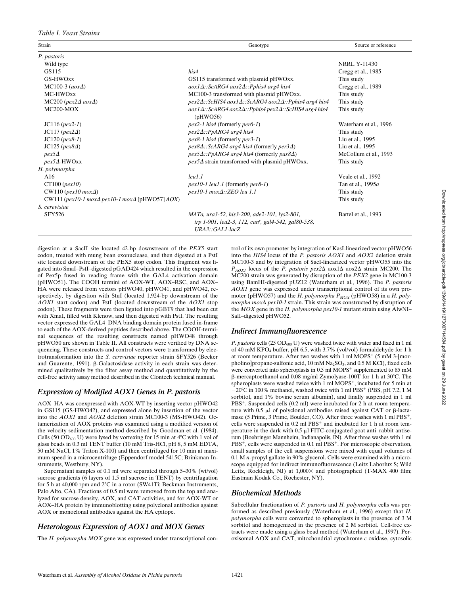| Strain                                                            | Genotype                                                                                                                |                       |  |  |
|-------------------------------------------------------------------|-------------------------------------------------------------------------------------------------------------------------|-----------------------|--|--|
| P. pastoris                                                       |                                                                                                                         |                       |  |  |
| Wild type                                                         |                                                                                                                         | <b>NRRL Y-11430</b>   |  |  |
| GS115                                                             | his4                                                                                                                    | Cregg et al., 1985    |  |  |
| GS-HWOxx                                                          | GS115 transformed with plasmid pHWOxx.                                                                                  | This study            |  |  |
| MC100-3 $(aox\Delta)$                                             | $aox1\Delta::ScARG4$ $aox2\Delta::Pphis4$ arg4 his4                                                                     | Cregg et al., 1989    |  |  |
| MC-HWOxx                                                          | MC100-3 transformed with plasmid pHWOxx.                                                                                | This study            |  |  |
| MC200 ( $pex2\Delta$ aox $\Delta$ )                               | $pex2\Delta::ScHIS4$ aox $1\Delta::ScARG4$ aox $2\Delta::Pphis4$ arg4 his4                                              | This study            |  |  |
| $MC200-MOX$                                                       | $aox1\Delta::ScARG4 aox2\Delta::Pphis4 pex2\Delta::ScHIS4 arg4 his4$<br>(pHWO56)                                        | This study            |  |  |
| $JC116 (pex2-1)$                                                  | $pex2-1$ his4 (formerly per6-1)                                                                                         | Waterham et al., 1996 |  |  |
| JC117 (pex2 <sub>Δ</sub> )                                        | $pex2\Delta::PpARG4\ arg4\ his4$                                                                                        | This study            |  |  |
| $JC120 (pex8-1)$                                                  | pex8-1 his4 (formerly per3-1)                                                                                           | Liu et al., 1995      |  |  |
| $JC125 (pex8\Delta)$                                              | pex8 $\Delta$ ::ScARG4 arg4 his4 (formerly per3 $\Delta$ )                                                              | Liu et al., 1995      |  |  |
| $pex5\Delta$                                                      | $pex5\Delta$ ::PpARG4 arg4 his4 (formerly pas8 $\Delta$ )                                                               | McCollum et al., 1993 |  |  |
| $pex5\Delta$ -HWOxx                                               | $pex5\Delta$ strain transformed with plasmid pHWOxx.                                                                    | This study            |  |  |
| H. polymorpha                                                     |                                                                                                                         |                       |  |  |
| A <sub>16</sub>                                                   | leul.1                                                                                                                  | Veale et al., 1992    |  |  |
| CT100 (pex10)                                                     | $pex10-1$ leu1.1 (formerly $per8-1$ )                                                                                   | Tan et al., 1995a     |  |  |
| CW110 ( $pex10$ mox $\Delta$ )                                    | $pex10-1$ mox $\Delta$ ::ZEO leu 1.1                                                                                    | This study            |  |  |
| CW111 ( $pex10-1$ mox $\Delta$ pex10-1 mox $\Delta$ [pHWO57] AOX) |                                                                                                                         | This study            |  |  |
| S. cerevisiae                                                     |                                                                                                                         |                       |  |  |
| <b>SFY526</b>                                                     | MATa, ura3-52, his3-200, ade2-101, lys2-801,<br>trp 1-901, leu2-3, 112, can', gal4-542, gal80-538,<br>$URA3::GAL1-lacZ$ | Bartel et al., 1993   |  |  |

digestion at a SacII site located 42-bp downstream of the *PEX5* start codon, treated with mung bean exonuclease, and then digested at a PstI site located downstream of the PEX5 stop codon. This fragment was ligated into SmaI–PstI–digested pGAD424 which resulted in the expression of Pex5p fused in reading frame with the GAL4 activation domain (pHWO51). The COOH termini of AOX-WT, AOX–RSC, and AOX– HA were released from vectors pHWO40, pHWO41, and pHWO42, respectively, by digestion with StuI (located 1,924-bp downstream of the *AOX1* start codon) and PstI (located downstream of the *AOX1* stop codon). These fragments were then ligated into pGBT9 that had been cut with XmaI, filled with Klenow, and then digested with PstI. The resulting vector expressed the GAL4–DNA binding domain protein fused in-frame to each of the AOX-derived peptides described above. The COOH-terminal sequences of the resulting constructs named pHWO48 through pHWO50 are shown in Table II. All constructs were verified by DNA sequencing. These constructs and control vectors were transformed by electrotransformation into the *S. cerevisiae* reporter strain SFY526 (Becker and Guarente, 1991). b-Galactosidase activity in each strain was determined qualitatively by the filter assay method and quantitatively by the cell-free activity assay method described in the Clontech technical manual.

# *Expression of Modified AOX1 Genes in P. pastoris*

AOX–HA was coexpressed with AOX-WT by inserting vector pHWO42 in GS115 (GS-HWO42), and expressed alone by insertion of the vector into the *AOX1* and *AOX2* deletion strain MC100-3 (MS-HWO42). Octamerization of AOX proteins was examined using a modified version of the velocity sedimentation method described by Goodman et al. (1984). Cells (50 OD<sub>600</sub> U) were lysed by vortexing for 15 min at  $4^{\circ}$ C with 1 vol of glass beads in 0.3 ml TENT buffer (10 mM Tris-HCl, pH 8, 5 mM EDTA, 50 mM NaCl, 1% Triton X-100) and then centrifuged for 10 min at maximum speed in a microcentrifuge (Eppendorf model 5415C; Brinkman Instruments, Westbury, NY).

Supernatant samples of 0.1 ml were separated through 5–30% (wt/vol) sucrose gradients (6 layers of 1.5 ml sucrose in TENT) by centrifugation for 5 h at 40,000 rpm and  $2^{\circ}$ C in a rotor (SW41Ti; Beckman Instruments, Palo Alto, CA). Fractions of 0.5 ml were removed from the top and analyzed for sucrose density, AOX, and CAT activities, and for AOX-WT or AOX–HA protein by immunoblotting using polyclonal antibodies against AOX or monoclonal antibodies against the HA epitope.

# *Heterologous Expression of AOX1 and MOX Genes*

The *H. polymorpha MOX* gene was expressed under transcriptional con-

trol of its own promoter by integration of KasI-linearized vector pHWO56 into the *HIS4* locus of the *P. pastoris AOX1* and *AOX2* deletion strain MC100-3 and by integration of SacI-linearized vector pHWO55 into the  $P_{AOXI}$  locus of the *P. pastoris pex2* $\Delta$  aox1 $\Delta$  aox2 $\Delta$  strain MC200. The MC200 strain was generated by disruption of the *PEX2* gene in MC100-3 using BamHI-digested pUZ12 (Waterham et al., 1996). The *P. pastoris AOX1* gene was expressed under transcriptional control of its own promoter (pHWO57) and the *H. polymorpha*  $P_{MOX}$  (pHWO58) in a *H. poly* $morpha$   $mox\Delta$   $pex10-1$  strain. This strain was constructed by disruption of the *MOX* gene in the *H. polymorpha pex10-1* mutant strain using AlwNI– SalI–digested pHWO52.

# *Indirect Immunofluorescence*

*P. pastoris* cells (25 OD<sub>600</sub> U) were washed twice with water and fixed in 1 ml of 40 mM KPO4 buffer, pH 6.5, with 3.7% (vol/vol) formaldehyde for 1 h at room temperature. After two washes with 1 ml MOPS<sup>+</sup> (5 mM 3-[morpholino]propane-sulfonic acid, 10 mM  $Na<sub>2</sub>SO<sub>3</sub>$ , and 0.5 M KCl), fixed cells were converted into spheroplasts in 0.5 ml MOPS<sup>+</sup> supplemented to 85 mM  $\beta$ -mercaptoethanol and 0.08 mg/ml Zymolyase-100T for 1 h at 30°C. The spheroplasts were washed twice with 1 ml MOPS<sup>+</sup>, incubated for 5 min at  $-20^{\circ}$ C in 100% methanol, washed twice with 1 ml PBS<sup>+</sup> (PBS, pH 7.2, 1 M sorbitol, and 1% bovine serum albumin), and finally suspended in 1 ml PBS<sup>+</sup>. Suspended cells (0.2 ml) were incubated for 2 h at room temperature with  $0.5 \mu$ l of polyclonal antibodies raised against CAT or  $\beta$ -lactamase (5 Prime, 3 Prime, Boulder, CO). After three washes with 1 ml PBS<sup>+</sup>, cells were suspended in  $0.2$  ml PBS<sup>+</sup> and incubated for 1 h at room temperature in the dark with 0.5 ml FITC-conjugated goat anti–rabbit antiserum (Boehringer Mannheim, Indianapolis, IN). After three washes with 1 ml  $PBS^+$ , cells were suspended in 0.1 ml  $PBS^+$ . For microscopic observation, small samples of the cell suspensions were mixed with equal volumes of 0.1 M *n*-propyl gallate in 90% glycerol. Cells were examined with a microscope equipped for indirect immunofluorescence (Leitz Laborlux S; Wild Leitz, Rockleigh, NJ) at 1,000× and photographed (T-MAX 400 film; Eastman Kodak Co., Rochester, NY).

# *Biochemical Methods*

Subcellular fractionation of *P. pastoris* and *H. polymorpha* cells was performed as described previously (Waterham et al., 1996) except that *H. polymorpha* cells were converted to spheroplasts in the presence of 3 M sorbitol and homogenized in the presence of 2 M sorbitol. Cell-free extracts were made using a glass bead method (Waterham et al., 1997). Peroxisomal AOX and CAT, mitochondrial cytochrome *c* oxidase, cytosolic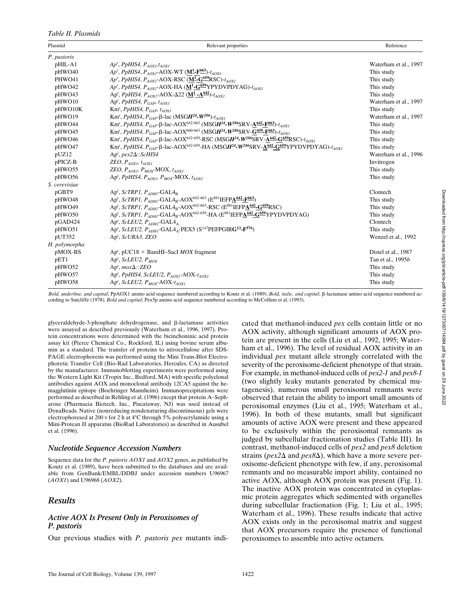*Table II. Plasmids*

| Plasmid       | Relevant properties                                                                                                                                                                                      | Reference                 |
|---------------|----------------------------------------------------------------------------------------------------------------------------------------------------------------------------------------------------------|---------------------------|
| P. pastoris   |                                                                                                                                                                                                          |                           |
| $pHIL-A1$     | $Apr$ , PpHIS4, P <sub>AOXI</sub> , t <sub>AOXI</sub>                                                                                                                                                    | Waterham et al., 1997     |
| pHWO40        | Ap <sup>r</sup> , PpHIS4, P <sub>AOXI</sub> -AOX-WT (M <sup>1</sup> -F <sup>663</sup> )- $t_{AOXI}$                                                                                                      | This study                |
| PHWO41        | Ap', PpHIS4, P <sub>AOXI</sub> -AOX-RSC (M <sup>1</sup> -G <sup>659</sup> RSC)- $t_{AOXI}$                                                                                                               | This study                |
| pHWO42        | $Ap^r$ , PpHIS4, P <sub>AOXI</sub> -AOX-HA ( $\underline{M}^1$ - $\underline{G}^{659}$ YPYDVPDYAG)- $t_{AOXI}$                                                                                           | This study                |
| pHWO43        | Ap <sup>r</sup> , PpHIS4, P <sub>AOXI</sub> -AOX- $\Delta$ 22 ( $\underline{M}$ <sup>1</sup> - $\underline{A}$ <sup>642</sup> )-t <sub>AOXI</sub>                                                        | This study                |
| pHWO10        | Ap <sup>r</sup> , PpHIS4, P <sub>GAP</sub> , $t_{AOXI}$                                                                                                                                                  | Waterham et al., 1997     |
| pHWO10K       | Km <sup>r</sup> , <i>PpHIS4</i> , $P_{GAP}$ , $t_{AOXI}$                                                                                                                                                 | This study                |
| pHWO19        | Km <sup>r</sup> , <i>PpHIS4</i> , <i>P<sub>GAP</sub></i> - $\beta$ -lac (MSG <i>H</i> <sup>24</sup> - <i>W</i> <sup>286</sup> )- $t_{AOXI}$                                                              | Waterham et al., 1997     |
| pHWO44        | Km <sup>r</sup> , <i>PpHIS4</i> , <i>P<sub>GAP</sub></i> - $\beta$ -lac-AOX <sup>642-663</sup> (MSGH <sup>24</sup> -W <sup>286</sup> SRV- $\underline{A}$ <sup>642</sup> -F <sup>663</sup> )- $t_{AOXI}$ | This study                |
| pHWO45        | Km <sup>r</sup> , <i>PpHIS4</i> , <i>P<sub>GAP</sub></i> - $\beta$ -lac-AOX <sup>660-663</sup> (MSGH <sup>24</sup> -W <sup>286</sup> SRV-C <sup>659</sup> -F <sup>663</sup> )- $t_{AOXI}$                | This study                |
| pHWO46        | Km <sup>r</sup> , PpHIS4, P <sub>GAP</sub> -B-lac-AOX <sup>642-659</sup> -RSC (MSGH <sup>24</sup> -W <sup>286</sup> SRV- $\underline{A}$ <sup>642</sup> -G <sup>659</sup> RSC)- $t_{AOXI}$               | This study                |
| pHWO47        | Km <sup>r</sup> , PpHIS4, P <sub>GAP</sub> - $\beta$ -lac-AOX <sup>642-659</sup> -HA (MSGH <sup>24</sup> -W <sup>286</sup> SRV- $\underline{A}$ <sup>642</sup> -G <sup>659</sup> YPYDVPDYAG)- $t_{AOXI}$ | This study                |
| pUZ12         | $Apr$ , $pex2\Delta::ScHIS4$                                                                                                                                                                             | Waterham et al., 1996     |
| pPICZ-B       | ZEO, $P_{AOXI}$ , $t_{AOXI}$                                                                                                                                                                             | Invitrogen                |
| pHWO55        | ZEO, $P_{AOXI}$ , $P_{MOX}$ -MOX, $t_{AOXI}$                                                                                                                                                             | This study                |
| pHWO56        | Ap <sup>r</sup> , PpHIS4, P <sub>AOXI</sub> , P <sub>MOX</sub> -MOX, $t_{AOXI}$                                                                                                                          | This study                |
| S. cerevisiae |                                                                                                                                                                                                          |                           |
| pGBT9         | Ap <sup>r</sup> , ScTRP1, $P_{ADHI}$ -GAL4 <sub>B</sub>                                                                                                                                                  | Clontech                  |
| pHWO48        | Ap <sup>r</sup> , ScTRP1, P <sub>ADH1</sub> -GAL4 <sub>B</sub> -AOX <sup>642-663</sup> (E <sup>881</sup> IEFP $\underline{A}$ <sup>642</sup> -F <sup>663</sup> )                                         | This study                |
| pHWO49        | Ap <sup>r</sup> , ScTRP1, P <sub>ADHI</sub> -GAL4 <sub>B</sub> -AOX <sup>642-663</sup> -RSC (E <sup>881</sup> IEFPA <sup>642</sup> -G <sup>659</sup> RSC)                                                | This study                |
| pHWO50        | Ap <sup>r</sup> , ScTRP1, PADHI-GAL4 <sub>B</sub> -AOX <sup>642-659</sup> -HA (E <sup>881</sup> IEFPA <sup>642</sup> -G <sup>659</sup> YPYDVPDYAG)                                                       | This study                |
| pGAD424       | Ap <sup>r</sup> , ScLEU2, $P_{ADHI}$ -GAL4 <sub>A</sub>                                                                                                                                                  | Clontech                  |
| pHWO51        | Ap <sup>r</sup> , ScLEU2, P <sub>ADHI</sub> -GAL4 <sub>A</sub> -PEX5 (S <sup>147</sup> PEFPGIRG <sup>13</sup> -F <sup>576</sup> )                                                                        | This study                |
| pUT352        | $Apr$ , ScURA3, ZEO                                                                                                                                                                                      | Wenzel et al., 1992       |
| H. polymorpha |                                                                                                                                                                                                          |                           |
| pMOX-BS       | $Apr$ , pUC18 + BamHI-SacI MOX fragment                                                                                                                                                                  | Distel et al., 1987       |
| pET1          | $Apr$ , <i>ScLEU2</i> , $PMOX$                                                                                                                                                                           | Tan et al., 1995 <i>b</i> |
| pHWO52        | Ap <sup>r</sup> , $max\Delta$ ::ZEO                                                                                                                                                                      | This study                |
| pHWO57        | Ap <sup>r</sup> , PpHIS4, ScLEU2, P <sub>AOXI</sub> -AOX-t <sub>AOXI</sub>                                                                                                                               | This study                |
| pHWO58        | $Apr$ , ScLEU2, $PMOX$ -AOX- $tAOXI$                                                                                                                                                                     | This study                |

*Bold, underline, and capital*; PpAOX1 amino acid sequence numbered according to Koutz et al. (1989). *Bold, italic, and capital*; b-lactamase amino acid sequence numbered according to Sutcliffe (1978). *Bold and capital*; Pex5p amino acid sequence numbered according to McCollum et al. (1993).

glyceraldehyde-3-phosphate dehydrogenase, and  $\beta$ -lactamase activities were assayed as described previously (Waterham et al., 1996, 1997). Protein concentrations were determined with the bicinchoninic acid protein assay kit (Pierce Chemical Co., Rockford, IL) using bovine serum albumin as a standard. The transfer of proteins to nitrocellulose after SDS-PAGE electrophoresis was performed using the Mini Trans-Blot Electrophoretic Transfer Cell (Bio-Rad Laboratories, Hercules, CA) as directed by the manufacturer. Immunoblotting experiments were performed using the Western Light Kit (Tropix Inc., Bedford, MA) with specific polyclonal antibodies against AOX and monoclonal antibody 12CA5 against the hemagglutinin epitope (Boehringer Mannheim). Immunoprecipitations were performed as described in Rehling et al. (1996) except that protein A–Sepharose (Pharmacia Biotech. Inc., Piscataway, NJ) was used instead of DynaBeads. Native (nonreducing nondenaturing discontinuous) gels were electrophoresed at 200 v for 2 h at 4°C through 5% polyacrylamide using a Mini-Protean II apparatus (BioRad Laboratories) as described in Ausubel et al. (1996).

## *Nucleotide Sequence Accession Numbers*

Sequence data for the *P. pastoris AOX1* and *AOX2* genes, as published by Koutz et al. (1989), have been submitted to the databases and are available from GenBank/EMBL/DDBJ under accession numbers U96967 (*AOX1*) and U96968 (*AOX2*).

# *Results*

## *Active AOX Is Present Only in Peroxisomes of P. pastoris*

Our previous studies with *P. pastoris pex* mutants indi-

cated that methanol-induced *pex* cells contain little or no AOX activity, although significant amounts of AOX protein are present in the cells (Liu et al., 1992, 1995; Waterham et al., 1996). The level of residual AOX activity in an individual *pex* mutant allele strongly correlated with the severity of the peroxisome-deficient phenotype of that strain. For example, in methanol-induced cells of *pex2-1* and *pex8-1* (two slightly leaky mutants generated by chemical mutagenesis), numerous small peroxisomal remnants were observed that retain the ability to import small amounts of peroxisomal enzymes (Liu et al., 1995; Waterham et al., 1996). In both of these mutants, small but significant amounts of active AOX were present and these appeared to be exclusively within the peroxisomal remnants as judged by subcellular fractionation studies (Table III). In contrast, methanol-induced cells of *pex2* and *pex8* deletion strains ( $pex2\Delta$  and  $pex8\Delta$ ), which have a more severe peroxisome-deficient phenotype with few, if any, peroxisomal remnants and no measurable import ability, contained no active AOX, although AOX protein was present (Fig. 1). The inactive AOX protein was concentrated in cytoplasmic protein aggregates which sedimented with organelles during subcellular fractionation (Fig. 1; Liu et al., 1995; Waterham et al., 1996). These results indicate that active AOX exists only in the peroxisomal matrix and suggest that AOX precursors require the presence of functional peroxisomes to assemble into active octamers.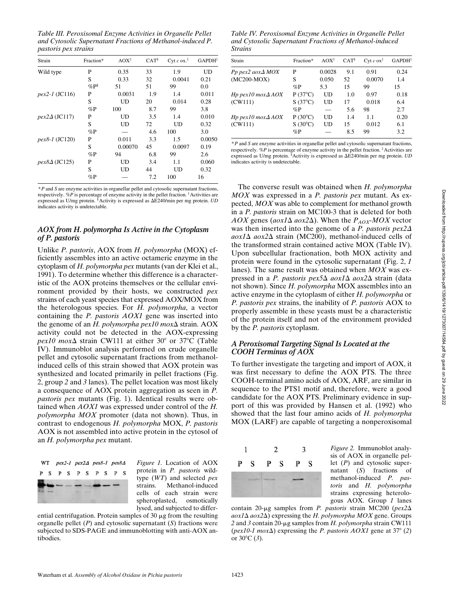| 1.9<br>P<br>33<br>Wild type<br>0.35<br>S<br>0.0041<br>0.33<br>32<br>$\%P^s$<br>99<br>51<br>51<br>0.0031<br>1.9<br>$pex2-1$ (JC116)<br>P<br>1.4<br>S<br>0.014<br>UD<br>20<br>99<br>$\%$ P<br>100<br>8.7<br>$pex2\Delta$ (JC117)<br>P<br>UD<br>3.5<br>1.4<br>S<br>UD<br>UD<br>72<br>$\%$ P<br>100<br>4.6<br>0.011<br>$pex8-1$ (JC120)<br>P<br>3.3<br>1.5<br>S<br>0.00070<br>45<br>0.0097<br>$\%$ P<br>6.8<br>99<br>94 | $GAPDH$ <sup>*</sup> | Cyt $c$ ox. <sup>‡</sup> | $CAT^s$ | $AOX^{\ddagger}$ | Fraction* | Strain               |
|---------------------------------------------------------------------------------------------------------------------------------------------------------------------------------------------------------------------------------------------------------------------------------------------------------------------------------------------------------------------------------------------------------------------|----------------------|--------------------------|---------|------------------|-----------|----------------------|
|                                                                                                                                                                                                                                                                                                                                                                                                                     | UD                   |                          |         |                  |           |                      |
|                                                                                                                                                                                                                                                                                                                                                                                                                     | 0.21                 |                          |         |                  |           |                      |
|                                                                                                                                                                                                                                                                                                                                                                                                                     | 0.0                  |                          |         |                  |           |                      |
|                                                                                                                                                                                                                                                                                                                                                                                                                     | 0.011                |                          |         |                  |           |                      |
|                                                                                                                                                                                                                                                                                                                                                                                                                     | 0.28                 |                          |         |                  |           |                      |
|                                                                                                                                                                                                                                                                                                                                                                                                                     | 3.8                  |                          |         |                  |           |                      |
|                                                                                                                                                                                                                                                                                                                                                                                                                     | 0.010                |                          |         |                  |           |                      |
|                                                                                                                                                                                                                                                                                                                                                                                                                     | 0.32                 |                          |         |                  |           |                      |
|                                                                                                                                                                                                                                                                                                                                                                                                                     | 3.0                  |                          |         |                  |           |                      |
|                                                                                                                                                                                                                                                                                                                                                                                                                     | 0.0050               |                          |         |                  |           |                      |
|                                                                                                                                                                                                                                                                                                                                                                                                                     | 0.19                 |                          |         |                  |           |                      |
|                                                                                                                                                                                                                                                                                                                                                                                                                     | 2.6                  |                          |         |                  |           |                      |
|                                                                                                                                                                                                                                                                                                                                                                                                                     | 0.060                | 1.1                      | 3.4     | UD               | P         | $pex8\Delta$ (JC125) |
| S<br>UD<br>UD<br>44                                                                                                                                                                                                                                                                                                                                                                                                 | 0.32                 |                          |         |                  |           |                      |
| $\%P$<br>100<br>16<br>7.2                                                                                                                                                                                                                                                                                                                                                                                           |                      |                          |         |                  |           |                      |

\**P* and *S* are enzyme activities in organellar pellet and cytosolic supernatant fractions, respectively. *%P* is percentage of enzyme activity in the pellet fraction. ‡Activities are expressed as U/mg protein. <sup>§</sup>Activity is expressed as  $\Delta$ E240/min per mg protein. *UD* indicates activity is undetectable.

# *AOX from H. polymorpha Is Active in the Cytoplasm of P. pastoris*

Unlike *P. pastoris*, AOX from *H. polymorpha* (MOX) efficiently assembles into an active octameric enzyme in the cytoplasm of *H. polymorpha pex* mutants (van der Klei et al., 1991). To determine whether this difference is a characteristic of the AOX proteins themselves or the cellular environment provided by their hosts, we constructed *pex* strains of each yeast species that expressed AOX/MOX from the heterologous species. For *H. polymorpha*, a vector containing the *P. pastoris AOX1* gene was inserted into the genome of an *H. polymorpha pex10 mox* $\Delta$  strain. AOX activity could not be detected in the AOX-expressing *pex10 mox* $\Delta$  strain CW111 at either 30° or 37°C (Table IV). Immunoblot analysis performed on crude organelle pellet and cytosolic supernatant fractions from methanolinduced cells of this strain showed that AOX protein was synthesized and located primarily in pellet fractions (Fig. 2, group *2* and *3* lanes). The pellet location was most likely a consequence of AOX protein aggregation as seen in *P. pastoris pex* mutants (Fig. 1). Identical results were obtained when *AOX1* was expressed under control of the *H. polymorpha MOX* promoter (data not shown). Thus, in contrast to endogenous *H. polymorpha* MOX, *P. pastoris* AOX is not assembled into active protein in the cytosol of an *H. polymorpha pex* mutant.



*Figure 1.* Location of AOX protein in *P. pastoris* wildtype (*WT*) and selected *pex* strains. Methanol-induced cells of each strain were spheroplasted, osmotically lysed, and subjected to differ-

ential centrifugation. Protein samples of  $30 \mu$ g from the resulting organelle pellet (*P*) and cytosolic supernatant (*S*) fractions were subjected to SDS-PAGE and immunoblotting with anti-AOX antibodies.

*Table IV. Peroxisomal Enzyme Activities in Organelle Pellet and Cytosolic Supernatant Fractions of Methanol-induced Strains*

| Strain                      | Fraction*        | $AOX^{\ddagger}$ | CAT <sup>§</sup> | Cyt $c$ ox <sup>‡</sup> | $GAPDH^*$ |
|-----------------------------|------------------|------------------|------------------|-------------------------|-----------|
| Pp pex2 $a$ ox $\Delta$ MOX | P                | 0.0028           | 9.1              | 0.91                    | 0.24      |
| $(MC200-MOX)$               | S                | 0.050            | 52               | 0.0070                  | 1.4       |
|                             | $\%$ P           | 5.3              | 15               | 99                      | 15        |
| Hp pex10 $max\Delta AOX$    | $P(37^{\circ}C)$ | UD               | 1.0              | 0.97                    | 0.18      |
| (CW111)                     | $S(37^{\circ}C)$ | UD               | 17               | 0.018                   | 6.4       |
|                             | $\%$ P           |                  | 5.6              | 98                      | 2.7       |
| Hp pex10 $max\Delta$ AOX    | $P(30^{\circ}C)$ | UD               | 1.4              | 1.1                     | 0.20      |
| (CW111)                     | $S(30^{\circ}C)$ | UD               | 15               | 0.012                   | 6.1       |
|                             | $\%P$            |                  | 8.5              | 99                      | 3.2       |
|                             |                  |                  |                  |                         |           |

\**P* and *S* are enzyme activities in organellar pellet and cytosolic supernatant fractions, respectively. *%P* is percentage of enzyme activity in the pellet fraction. ‡Activities are expressed as U/mg protein. <sup>§</sup> Activity is expressed as  $\Delta$ E240/min per mg protein. *UD* indicates activity is undetectable.

The converse result was obtained when *H. polymorpha MOX* was expressed in a *P. pastoris pex* mutant. As expected, *MOX* was able to complement for methanol growth in a *P. pastoris* strain on MC100-3 that is deleted for both  $AOX$  genes ( $aox1\Delta$   $aox2\Delta$ ). When the  $P_{AOX}$ -*MOX* vector was then inserted into the genome of a *P. pastoris pex2* $\Delta$ *aox1*D *aox2*D strain (MC200), methanol-induced cells of the transformed strain contained active MOX (Table IV). Upon subcellular fractionation, both MOX activity and protein were found in the cytosolic supernatant (Fig. 2, *1* lanes). The same result was obtained when *MOX* was expressed in a *P. pastoris pex5*D *aox1*D *aox2*D strain (data not shown). Since *H. polymorpha* MOX assembles into an active enzyme in the cytoplasm of either *H. polymorpha* or *P. pastoris pex* strains, the inability of *P. pastoris* AOX to properly assemble in these yeasts must be a characteristic of the protein itself and not of the environment provided by the *P. pastoris* cytoplasm.

# *A Peroxisomal Targeting Signal Is Located at the COOH Terminus of AOX*

To further investigate the targeting and import of AOX, it was first necessary to define the AOX PTS. The three COOH-terminal amino acids of AOX, ARF, are similar in sequence to the PTS1 motif and, therefore, were a good candidate for the AOX PTS. Preliminary evidence in support of this was provided by Hansen et al. (1992) who showed that the last four amino acids of *H. polymorpha* MOX (LARF) are capable of targeting a nonperoxisomal



*Figure 2.* Immunoblot analysis of AOX in organelle pellet (*P*) and cytosolic supernatant (*S*) fractions of methanol-induced *P. pastoris* and *H. polymorpha* strains expressing heterologous AOX. Group *1* lanes

contain 20-µg samples from *P. pastoris* strain MC200 ( $pex2\Delta$  $aox1\Delta$   $aox2\Delta$ ) expressing the *H. polymorpha MOX* gene. Groups *2* and *3* contain 20-mg samples from *H. polymorpha* strain CW111 ( $\text{pex10-1}$  mox $\Delta$ ) expressing the *P. pastoris AOX1* gene at 37 $^{\circ}$  (2) or  $30^{\circ}$ C $(3)$ .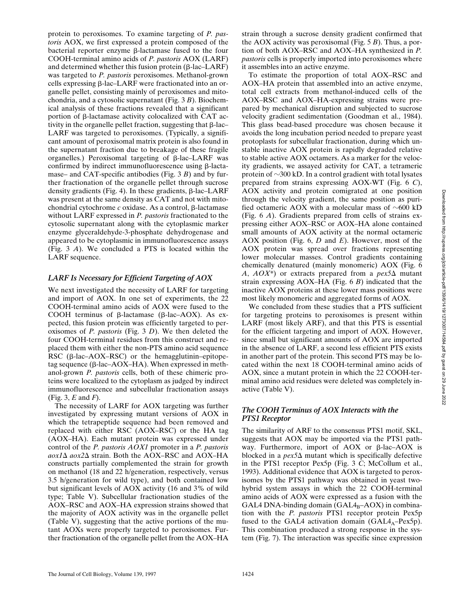protein to peroxisomes. To examine targeting of *P. pastoris* AOX, we first expressed a protein composed of the bacterial reporter enzyme  $\beta$ -lactamase fused to the four COOH-terminal amino acids of *P. pastoris* AOX (LARF) and determined whether this fusion protein  $(\beta$ -lac–LARF) was targeted to *P. pastoris* peroxisomes. Methanol-grown cells expressing b-lac–LARF were fractionated into an organelle pellet, consisting mainly of peroxisomes and mitochondria, and a cytosolic supernatant (Fig. 3 *B*). Biochemical analysis of these fractions revealed that a significant portion of  $\beta$ -lactamase activity colocalized with CAT activity in the organelle pellet fraction, suggesting that  $\beta$ -lac– LARF was targeted to peroxisomes. (Typically, a significant amount of peroxisomal matrix protein is also found in the supernatant fraction due to breakage of these fragile organelles.) Peroxisomal targeting of  $\beta$ -lac–LARF was confirmed by indirect immunofluorescence using  $\beta$ -lactamase– and CAT-specific antibodies (Fig. 3 *B*) and by further fractionation of the organelle pellet through sucrose density gradients (Fig. 4). In these gradients,  $\beta$ -lac–LARF was present at the same density as CAT and not with mitochondrial cytochrome  $c$  oxidase. As a control,  $\beta$ -lactamase without LARF expressed in *P. pastoris* fractionated to the cytosolic supernatant along with the cytoplasmic marker enzyme glyceraldehyde-3-phosphate dehydrogenase and appeared to be cytoplasmic in immunofluorescence assays (Fig. 3 *A*). We concluded a PTS is located within the LARF sequence.

## *LARF Is Necessary for Efficient Targeting of AOX*

We next investigated the necessity of LARF for targeting and import of AOX. In one set of experiments, the 22 COOH-terminal amino acids of AOX were fused to the COOH terminus of  $\beta$ -lactamase ( $\beta$ -lac–AOX). As expected, this fusion protein was efficiently targeted to peroxisomes of *P. pastoris* (Fig. 3 *D*). We then deleted the four COOH-terminal residues from this construct and replaced them with either the non-PTS amino acid sequence RSC ( $\beta$ -lac–AOX–RSC) or the hemagglutinin–epitopetag sequence ( $\beta$ -lac–AOX–HA). When expressed in methanol-grown *P. pastoris* cells, both of these chimeric proteins were localized to the cytoplasm as judged by indirect immunofluorescence and subcellular fractionation assays (Fig. 3, *E* and *F*).

The necessity of LARF for AOX targeting was further investigated by expressing mutant versions of AOX in which the tetrapeptide sequence had been removed and replaced with either RSC (AOX–RSC) or the HA tag (AOX–HA). Each mutant protein was expressed under control of the *P. pastoris AOX1* promoter in a *P. pastoris aox1*D *aox2*D strain. Both the AOX–RSC and AOX–HA constructs partially complemented the strain for growth on methanol (18 and 22 h/generation, respectively, versus 3.5 h/generation for wild type), and both contained low but significant levels of AOX activity (16 and 3% of wild type; Table V). Subcellular fractionation studies of the AOX–RSC and AOX–HA expression strains showed that the majority of AOX activity was in the organelle pellet (Table V), suggesting that the active portions of the mutant AOXs were properly targeted to peroxisomes. Further fractionation of the organelle pellet from the AOX–HA

strain through a sucrose density gradient confirmed that the AOX activity was peroxisomal (Fig. 5 *B*). Thus, a portion of both AOX–RSC and AOX–HA synthesized in *P. pastoris* cells is properly imported into peroxisomes where it assembles into an active enzyme.

To estimate the proportion of total AOX–RSC and AOX–HA protein that assembled into an active enzyme, total cell extracts from methanol-induced cells of the AOX–RSC and AOX–HA-expressing strains were prepared by mechanical disruption and subjected to sucrose velocity gradient sedimentation (Goodman et al., 1984). This glass bead-based procedure was chosen because it avoids the long incubation period needed to prepare yeast protoplasts for subcellular fractionation, during which unstable inactive AOX protein is rapidly degraded relative to stable active AOX octamers. As a marker for the velocity gradients, we assayed activity for CAT, a tetrameric protein of  $\sim$ 300 kD. In a control gradient with total lysates prepared from strains expressing AOX-WT (Fig. 6 *C*), AOX activity and protein comigrated at one position through the velocity gradient, the same position as purified octameric AOX with a molecular mass of  $\sim 600$  kD (Fig. 6 *A*). Gradients prepared from cells of strains expressing either AOX–RSC or AOX–HA alone contained small amounts of AOX activity at the normal octameric AOX position (Fig. 6, *D* and *E*). However, most of the AOX protein was spread over fractions representing lower molecular masses. Control gradients containing chemically denatured (mainly monomeric) AOX (Fig. 6 *A*,  $AOX^*$  or extracts prepared from a  $pex5\Delta$  mutant strain expressing AOX–HA (Fig. 6 *B*) indicated that the inactive AOX proteins at these lower mass positions were most likely monomeric and aggregated forms of AOX.

We concluded from these studies that a PTS sufficient for targeting proteins to peroxisomes is present within LARF (most likely ARF), and that this PTS is essential for the efficient targeting and import of AOX. However, since small but significant amounts of AOX are imported in the absence of LARF, a second less efficient PTS exists in another part of the protein. This second PTS may be located within the next 18 COOH-terminal amino acids of AOX, since a mutant protein in which the 22 COOH-terminal amino acid residues were deleted was completely inactive (Table V).

## *The COOH Terminus of AOX Interacts with the PTS1 Receptor*

The similarity of ARF to the consensus PTS1 motif, SKL, suggests that AOX may be imported via the PTS1 pathway. Furthermore, import of  $AOX$  or  $\beta$ -lac– $AOX$  is blocked in a  $pex5\Delta$  mutant which is specifically defective in the PTS1 receptor Pex5p (Fig. 3 *C*; McCollum et al., 1993). Additional evidence that AOX is targeted to peroxisomes by the PTS1 pathway was obtained in yeast twohybrid system assays in which the 22 COOH-terminal amino acids of AOX were expressed as a fusion with the GAL4 DNA-binding domain  $(GAL4_B-AOX)$  in combination with the *P. pastoris* PTS1 receptor protein Pex5p fused to the GAL4 activation domain (GAL4<sub>A</sub>–Pex5p). This combination produced a strong response in the system (Fig. 7). The interaction was specific since expression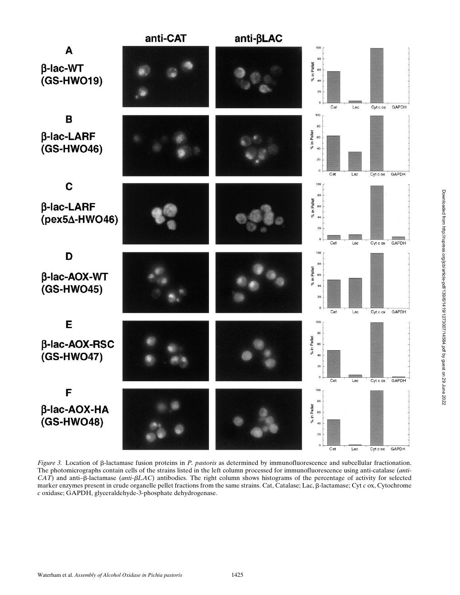

*Figure 3.* Location of  $\beta$ -lactamase fusion proteins in *P. pastoris* as determined by immunofluorescence and subcellular fractionation. The photomicrographs contain cells of the strains listed in the left column processed for immunofluorescence using anti-catalase (*anti-CAT*) and anti- $\beta$ -lactamase (*anti-* $\beta$ *LAC*) antibodies. The right column shows histograms of the percentage of activity for selected marker enzymes present in crude organelle pellet fractions from the same strains. Cat, Catalase; Lac,  $\beta$ -lactamase; Cyt *c* ox, Cytochrome *c* oxidase; GAPDH, glyceraldehyde-3-phosphate dehydrogenase.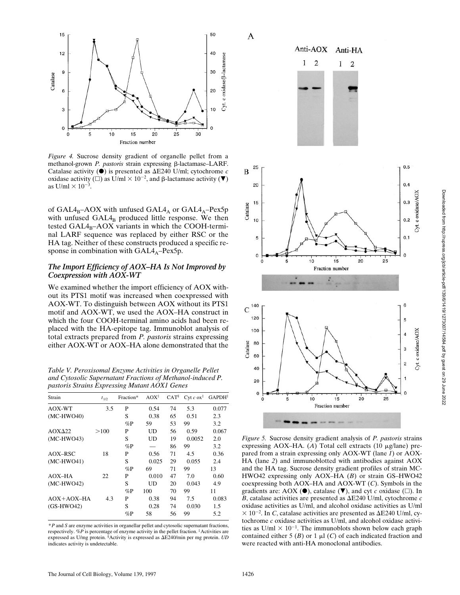

*Figure 4.* Sucrose density gradient of organelle pellet from a methanol-grown *P. pastoris* strain expressing β-lactamase-LARF. Catalase activity  $(①)$  is presented as  $\Delta$ E240 U/ml; cytochrome *c* oxidase activity ( $\square$ ) as U/ml  $\times$  10<sup>-2</sup>, and  $\beta$ -lactamase activity ( $\blacktriangledown$ ) as U/ml  $\times 10^{-3}$ .

of GAL4 $_B$ –AOX with unfused GAL4 $_A$  or GAL4 $_A$ –Pex5p with unfused  $GAL4_B$  produced little response. We then tested GAL $4_B$ –AOX variants in which the COOH-terminal LARF sequence was replaced by either RSC or the HA tag. Neither of these constructs produced a specific response in combination with  $GAL4_A-Pex5p$ .

#### *The Import Efficiency of AOX–HA Is Not Improved by Coexpression with AOX-WT*

We examined whether the import efficiency of AOX without its PTS1 motif was increased when coexpressed with AOX-WT. To distinguish between AOX without its PTS1 motif and AOX-WT, we used the AOX–HA construct in which the four COOH-terminal amino acids had been replaced with the HA-epitope tag. Immunoblot analysis of total extracts prepared from *P. pastoris* strains expressing either AOX-WT or AOX–HA alone demonstrated that the

*Table V. Peroxisomal Enzyme Activities in Organelle Pellet and Cytosolic Supernatant Fractions of Methanol-induced P. pastoris Strains Expressing Mutant AOX1 Genes*

| Strain           | $t_{1/2}$ | Fraction* | $AOX^{\ddagger}$ | $CAT$ <sup>§</sup> | Cyt c $\alpha x^{\ddagger}$ | GAPDH <sup>#</sup> |
|------------------|-----------|-----------|------------------|--------------------|-----------------------------|--------------------|
| <b>AOX-WT</b>    | 3.5       | P         | 0.54             | 74                 | 5.3                         | 0.077              |
| $(MC-HWO40)$     |           | S         | 0.38             | 65                 | 0.51                        | 2.3                |
|                  |           | $\%P$     | 59               | 53                 | 99                          | 3.2                |
| $AOX\Delta22$    | >100      | P         | UD               | 56                 | 0.59                        | 0.067              |
| $(MC-HWO43)$     |           | S         | UD               | 19                 | 0.0052                      | 2.0                |
|                  |           | $\%P$     |                  | 86                 | 99                          | 3.2                |
| AOX-RSC          | 18        | P         | 0.56             | 71                 | 4.5                         | 0.36               |
| $(MC-HWO41)$     |           | S         | 0.025            | 29                 | 0.055                       | 2.4                |
|                  |           | $\%P$     | 69               | 71                 | 99                          | 13                 |
| $AOX-HA$         | 22        | P         | 0.010            | 47                 | 7.0                         | 0.60               |
| $(MC-HWO42)$     |           | S         | UD               | 20                 | 0.043                       | 4.9                |
|                  |           | $\%$ P    | 100              | 70                 | 99                          | 11                 |
| $AOX + AOX - HA$ | 4.3       | P         | 0.38             | 94                 | 7.5                         | 0.083              |
| $(GS-HWO42)$     |           | S         | 0.28             | 74                 | 0.030                       | 1.5                |
|                  |           | $\%$ P    | 58               | 56                 | 99                          | 5.2                |
|                  |           |           |                  |                    |                             |                    |

\**P* and *S* are enzyme activities in organellar pellet and cytosolic supernatant fractions, respectively. *%P* is percentage of enzyme activity in the pellet fraction. ‡Activities are expressed as U/mg protein. <sup>§</sup>Activity is expressed as  $\Delta$ E240/min per mg protein. *UD* indicates activity is undetectable.



A

25 B

20

15 Catalase

 $10$ 

5

 $\mathbf 0$ 



*Figure 5.* Sucrose density gradient analysis of *P. pastoris* strains expressing AOX–HA. (A) Total cell extracts (10 μg/lane) prepared from a strain expressing only AOX-WT (lane *1*) or AOX-HA (lane *2*) and immunoblotted with antibodies against AOX and the HA tag. Sucrose density gradient profiles of strain MC-HWO42 expressing only AOX–HA (*B*) or strain GS–HWO42 coexpressing both AOX–HA and AOX-WT (*C*). Symbols in the gradients are: AOX  $(\bullet)$ , catalase  $(\mathbf{\nabla})$ , and cyt *c* oxidase  $(\Box)$ . In  $\overline{B}$ , catalase activities are presented as  $\Delta$ E240 U/ml, cytochrome  $c$ oxidase activities as U/ml, and alcohol oxidase activities as U/ml  $\times$  10<sup>-2</sup>. In *C*, catalase activities are presented as  $\Delta$ E240 U/ml, cytochrome *c* oxidase activities as U/ml, and alcohol oxidase activities as U/ml  $\times$  10<sup>-1</sup>. The immunoblots shown below each graph contained either 5  $(B)$  or 1  $\mu$ l  $(C)$  of each indicated fraction and were reacted with anti-HA monoclonal antibodies.

 $0.5$ 

 $0.4$ 

 $0.3$ 

 $0.2$ 

 $\Omega$ 

 $\frac{1}{25}$ 

c oxidase/AOX

Š.  $0.1$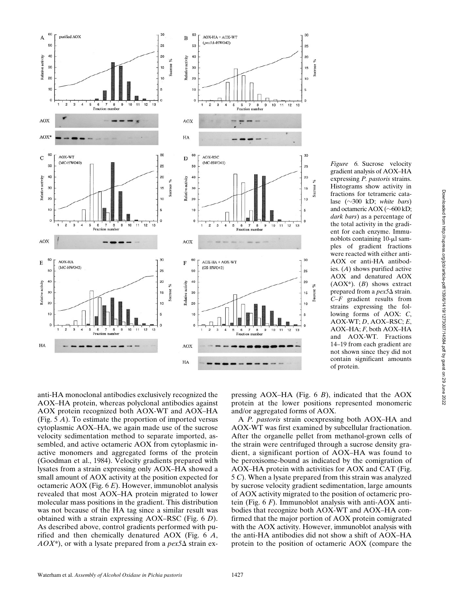

expressing *P. pastoris* strains. Histograms show activity in fractions for tetrameric catalase ( $\sim$ 300 kD; *white bars*) and octameric  $AOX$  ( $\sim$ 600 kD; *dark bars*) as a percentage of the total activity in the gradient for each enzyme. Immunoblots containing  $10-\mu l$  samples of gradient fractions were reacted with either anti-AOX or anti-HA antibodies. (*A*) shows purified active AOX and denatured AOX (AOX\*). (*B*) shows extract prepared from a  $pex5\Delta$  strain. *C–F* gradient results from strains expressing the following forms of AOX: *C*, AOX-WT; *D*, AOX–RSC; *E*, AOX–HA; *F*, both AOX–HA and AOX-WT. Fractions 14–19 from each gradient are not shown since they did not contain significant amounts of protein.

*Figure 6.* Sucrose velocity gradient analysis of AOX–HA

anti-HA monoclonal antibodies exclusively recognized the AOX–HA protein, whereas polyclonal antibodies against AOX protein recognized both AOX-WT and AOX–HA (Fig. 5 *A*). To estimate the proportion of imported versus cytoplasmic AOX–HA, we again made use of the sucrose velocity sedimentation method to separate imported, assembled, and active octameric AOX from cytoplasmic inactive monomers and aggregated forms of the protein (Goodman et al., 1984). Velocity gradients prepared with lysates from a strain expressing only AOX–HA showed a small amount of AOX activity at the position expected for octameric AOX (Fig. 6 *E*). However, immunoblot analysis revealed that most AOX–HA protein migrated to lower molecular mass positions in the gradient. This distribution was not because of the HA tag since a similar result was obtained with a strain expressing AOX–RSC (Fig. 6 *D*). As described above, control gradients performed with purified and then chemically denatured AOX (Fig. 6 *A*,  $AOX^*$ , or with a lysate prepared from a  $pex5\Delta$  strain ex-

pressing AOX–HA (Fig. 6 *B*), indicated that the AOX protein at the lower positions represented monomeric and/or aggregated forms of AOX.

A *P. pastoris* strain coexpressing both AOX–HA and AOX-WT was first examined by subcellular fractionation. After the organelle pellet from methanol-grown cells of the strain were centrifuged through a sucrose density gradient, a significant portion of AOX–HA was found to be peroxisome-bound as indicated by the comigration of AOX–HA protein with activities for AOX and CAT (Fig. 5 *C*). When a lysate prepared from this strain was analyzed by sucrose velocity gradient sedimentation, large amounts of AOX activity migrated to the position of octameric protein (Fig. 6 *F*). Immunoblot analysis with anti-AOX antibodies that recognize both AOX-WT and AOX–HA confirmed that the major portion of AOX protein comigrated with the AOX activity. However, immunoblot analysis with the anti-HA antibodies did not show a shift of AOX–HA protein to the position of octameric AOX (compare the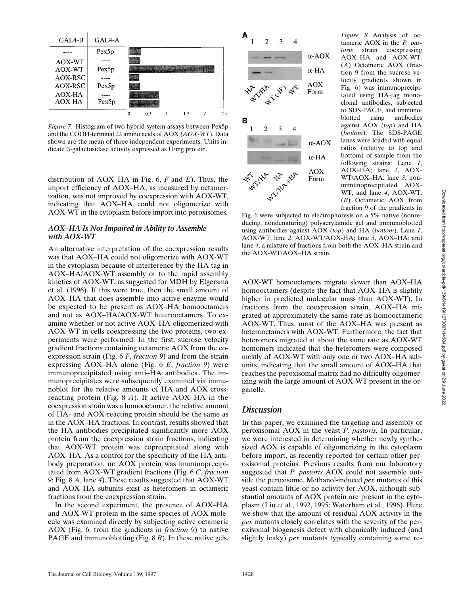

*Figure 7.* Histogram of two hybrid system assays between Pex5p and the COOH-terminal 22 amino acids of AOX (*AOX-WT*). Data shown are the mean of three independent experiments. Units indicate b-galactosidase activity expressed as U/mg protein.

distribution of AOX–HA in Fig. 6, *F* and *E*). Thus, the import efficiency of AOX–HA, as measured by octamerization, was not improved by coexpression with AOX-WT, indicating that AOX–HA could not oligomerize with AOX-WT in the cytoplasm before import into peroxisomes.

## *AOX–HA Is Not Impaired in Ability to Assemble with AOX-WT*

An alternative interpretation of the coexpression results was that AOX–HA could not oligomerize with AOX-WT in the cytoplasm because of interference by the HA tag in AOX–HA/AOX-WT assembly or to the rapid assembly kinetics of AOX-WT, as suggested for MDH by Elgersma et al. (1996). If this were true, then the small amount of AOX–HA that does assemble into active enzyme would be expected to be present as AOX–HA homooctamers and not as AOX–HA/AOX-WT heterooctamers. To examine whether or not active AOX–HA oligomerized with AOX-WT in cells coexpressing the two proteins, two experiments were performed. In the first, sucrose velocity gradient fractions containing octameric AOX from the coexpression strain (Fig. 6 *F*, *fraction 9*) and from the strain expressing AOX–HA alone (Fig. 6 *E*, *fraction 9*) were immunoprecipitated using anti–HA antibodies. The immunoprecipitates were subsequently examined via immunoblot for the relative amounts of HA and AOX crossreacting protein (Fig. 8 *A*). If active AOX–HA in the coexpression strain was a homooctamer, the relative amount of HA- and AOX-reacting protein should be the same as in the AOX–HA fractions. In contrast, results showed that the HA antibodies precipitated significantly more AOX protein from the coexpression strain fractions, indicating that AOX-WT protein was coprecipitated along with AOX–HA. As a control for the specificity of the HA antibody preparation, no AOX protein was immunoprecipitated from AOX-WT gradient fractions (Fig. 6 *C*, *fraction 9*; Fig. 8 *A*, lane *4*). These results suggested that AOX-WT and AOX–HA subunits exist as heteromers in octameric fractions from the coexpression strain.

In the second experiment, the presence of AOX–HA and AOX-WT protein in the same species of AOX molecule was examined directly by subjecting active octameric AOX (Fig. 6, from the gradients in *fraction 9*) to native PAGE and immunoblotting (Fig. 8 *B*). In these native gels,



*Figure 8.* Analysis of octameric AOX in the *P. pastoris* strain coexpressing AOX–HA and AOX-WT. (*A*) Octameric AOX (fraction 9 from the sucrose velocity gradients shown in Fig. 6) was immunoprecipitated using HA-tag monoclonal antibodies, subjected to SDS-PAGE, and immunoblotted using antibodies against AOX (*top*) and HA (*bottom*). The SDS-PAGE lanes were loaded with equal ratios (relative to top and bottom) of sample from the following strains: Lane *1*, AOX–HA; lane *2*, AOX-WT/AOX–HA; lane *3*, nonimmunoprecipitated AOX-WT, and lane *4*, AOX-WT. (*B*) Octameric AOX from fraction 9 of the gradients in

Fig. 6 were subjected to electrophoresis on a 5% native (nonreducing, nondenaturing) polyacrylamide gel and immunoblotted using antibodies against AOX (*top*) and HA (*bottom*). Lane *1*, AOX-WT; lane *2*, AOX-WT/AOX-HA; lane *3*, AOX–HA; and lane *4*, a mixture of fractions from both the AOX–HA strain and the AOX-WT/AOX–HA strain.

AOX-WT homooctamers migrate slower than AOX–HA homooctamers (despite the fact that AOX–HA is slightly higher in predicted molecular mass than AOX-WT). In fractions from the coexpression strain, AOX–HA migrated at approximately the same rate as homooctameric AOX-WT. Thus, most of the AOX–HA was present as heterooctamers with AOX-WT. Furthermore, the fact that heteromers migrated at about the same rate as AOX-WT homomers indicated that the heteromers were composed mostly of AOX-WT with only one or two AOX–HA subunits, indicating that the small amount of AOX–HA that reaches the peroxisomal matrix had no difficulty oligomerizing with the large amount of AOX-WT present in the organelle.

# *Discussion*

In this paper, we examined the targeting and assembly of peroxisomal AOX in the yeast *P. pastoris.* In particular, we were interested in determining whether newly synthesized AOX is capable of oligomerizing in the cytoplasm before import, as recently reported for certain other peroxisomal proteins. Previous results from our laboratory suggested that *P. pastoris* AOX could not assemble outside the peroxisome. Methanol-induced *pex* mutants of this yeast contain little or no activity for AOX, although substantial amounts of AOX protein are present in the cytoplasm (Liu et al., 1992, 1995; Waterham et al., 1996). Here we show that the amount of residual AOX activity in the *pex* mutants closely correlates with the severity of the peroxisomal biogenesis defect with chemically induced (and slightly leaky) *pex* mutants typically containing some re-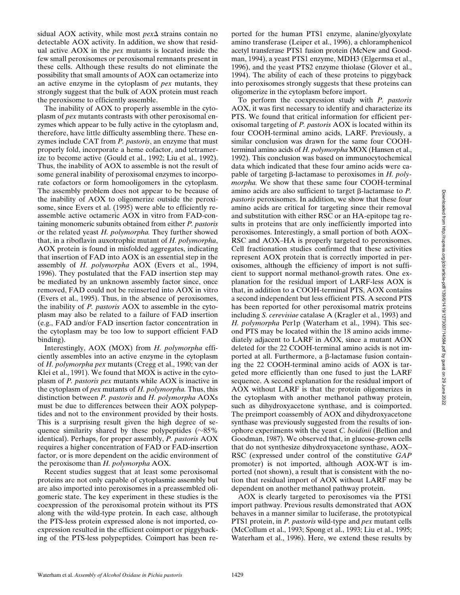sidual AOX activity, while most  $pex\Delta$  strains contain no detectable AOX activity. In addition, we show that residual active AOX in the *pex* mutants is located inside the few small peroxisomes or peroxisomal remnants present in these cells. Although these results do not eliminate the possibility that small amounts of AOX can octamerize into an active enzyme in the cytoplasm of *pex* mutants, they strongly suggest that the bulk of AOX protein must reach the peroxisome to efficiently assemble.

The inability of AOX to properly assemble in the cytoplasm of *pex* mutants contrasts with other peroxisomal enzymes which appear to be fully active in the cytoplasm and, therefore, have little difficulty assembling there. These enzymes include CAT from *P. pastoris*, an enzyme that must properly fold, incorporate a heme cofactor, and tetramerize to become active (Gould et al., 1992; Liu et al., 1992). Thus, the inability of AOX to assemble is not the result of some general inability of peroxisomal enzymes to incorporate cofactors or form homooligomers in the cytoplasm. The assembly problem does not appear to be because of the inability of AOX to oligomerize outside the peroxisome, since Evers et al. (1995) were able to efficiently reassemble active octameric AOX in vitro from FAD-containing monomeric subunits obtained from either *P. pastoris* or the related yeast *H. polymorpha.* They further showed that, in a riboflavin auxotrophic mutant of *H. polymorpha*, AOX protein is found in misfolded aggregates, indicating that insertion of FAD into AOX is an essential step in the assembly of *H. polymorpha* AOX (Evers et al., 1994, 1996). They postulated that the FAD insertion step may be mediated by an unknown assembly factor since, once removed, FAD could not be reinserted into AOX in vitro (Evers et al., 1995). Thus, in the absence of peroxisomes, the inability of *P. pastoris* AOX to assemble in the cytoplasm may also be related to a failure of FAD insertion (e.g., FAD and/or FAD insertion factor concentration in the cytoplasm may be too low to support efficient FAD binding).

Interestingly, AOX (MOX) from *H. polymorpha* efficiently assembles into an active enzyme in the cytoplasm of *H. polymorpha pex* mutants (Cregg et al., 1990; van der Klei et al., 1991). We found that MOX is active in the cytoplasm of *P. pastoris pex* mutants while AOX is inactive in the cytoplasm of *pex* mutants of *H. polymorpha.* Thus, this distinction between *P. pastoris* and *H. polymorpha* AOXs must be due to differences between their AOX polypeptides and not to the environment provided by their hosts. This is a surprising result given the high degree of sequence similarity shared by these polypeptides  $(\sim 85\%$ identical). Perhaps, for proper assembly, *P. pastoris* AOX requires a higher concentration of FAD or FAD-insertion factor, or is more dependent on the acidic environment of the peroxisome than *H. polymorpha* AOX.

Recent studies suggest that at least some peroxisomal proteins are not only capable of cytoplasmic assembly but are also imported into peroxisomes in a preassembled oligomeric state. The key experiment in these studies is the coexpression of the peroxisomal protein without its PTS along with the wild-type protein. In each case, although the PTS-less protein expressed alone is not imported, coexpression resulted in the efficient coimport or piggybacking of the PTS-less polypeptides. Coimport has been re-

ported for the human PTS1 enzyme, alanine/glyoxylate amino transferase (Leiper et al., 1996), a chloramphenicol acetyl transferase PTS1 fusion protein (McNew and Goodman, 1994), a yeast PTS1 enzyme, MDH3 (Elgermsa et al., 1996), and the yeast PTS2 enzyme thiolase (Glover et al., 1994). The ability of each of these proteins to piggyback into peroxisomes strongly suggests that these proteins can oligomerize in the cytoplasm before import.

To perform the coexpression study with *P. pastoris* AOX, it was first necessary to identify and characterize its PTS. We found that critical information for efficient peroxisomal targeting of *P. pastoris* AOX is located within its four COOH-terminal amino acids, LARF. Previously, a similar conclusion was drawn for the same four COOHterminal amino acids of *H. polymorpha* MOX (Hansen et al., 1992). This conclusion was based on immunocytochemical data which indicated that these four amino acids were capable of targeting  $\beta$ -lactamase to peroxisomes in *H. polymorpha.* We show that these same four COOH-terminal amino acids are also sufficient to target  $\beta$ -lactamase to  $P$ . *pastoris* peroxisomes. In addition, we show that these four amino acids are critical for targeting since their removal and substitution with either RSC or an HA-epitope tag results in proteins that are only inefficiently imported into peroxisomes. Interestingly, a small portion of both AOX– RSC and AOX–HA is properly targeted to peroxisomes. Cell fractionation studies confirmed that these activities represent AOX protein that is correctly imported in peroxisomes, although the efficiency of import is not sufficient to support normal methanol-growth rates. One explanation for the residual import of LARF-less AOX is that, in addition to a COOH-terminal PTS, AOX contains a second independent but less efficient PTS. A second PTS has been reported for other peroxisomal matrix proteins including *S. cerevisiae* catalase A (Kragler et al., 1993) and *H. polymorpha* Per1p (Waterham et al., 1994). This second PTS may be located within the 18 amino acids immediately adjacent to LARF in AOX, since a mutant AOX deleted for the 22 COOH-terminal amino acids is not imported at all. Furthermore, a  $\beta$ -lactamase fusion containing the 22 COOH-terminal amino acids of AOX is targeted more efficiently than one fused to just the LARF sequence. A second explanation for the residual import of AOX without LARF is that the protein oligomerizes in the cytoplasm with another methanol pathway protein, such as dihydroxyacetone synthase, and is coimported. The preimport coassembly of AOX and dihydroxyacetone synthase was previously suggested from the results of ionophore experiments with the yeast *C. boidinii* (Bellion and Goodman, 1987). We observed that, in glucose-grown cells that do not synthesize dihydroxyacetone synthase, AOX– RSC (expressed under control of the constitutive *GAP* promoter) is not imported, although AOX-WT is imported (not shown), a result that is consistent with the notion that residual import of AOX without LARF may be dependent on another methanol pathway protein.

AOX is clearly targeted to peroxisomes via the PTS1 import pathway. Previous results demonstrated that AOX behaves in a manner similar to luciferase, the prototypical PTS1 protein, in *P. pastoris* wild-type and *pex* mutant cells (McCollum et al., 1993; Spong et al., 1993; Liu et al., 1995; Waterham et al., 1996). Here, we extend these results by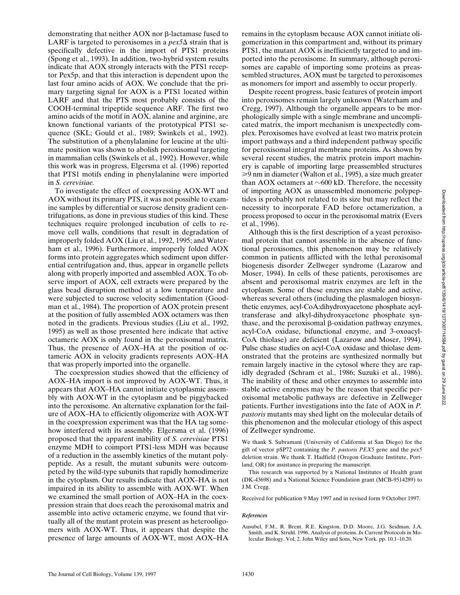demonstrating that neither  $AOX$  nor  $\beta$ -lactamase fused to LARF is targeted to peroxisomes in a  $pex5\Delta$  strain that is specifically defective in the import of PTS1 proteins (Spong et al., 1993). In addition, two-hybrid system results indicate that AOX strongly interacts with the PTS1 receptor Pex5p, and that this interaction is dependent upon the last four amino acids of AOX. We conclude that the primary targeting signal for AOX is a PTS1 located within LARF and that the PTS most probably consists of the COOH-terminal tripeptide sequence ARF. The first two amino acids of the motif in AOX, alanine and arginine, are known functional variants of the prototypical PTS1 sequence (SKL; Gould et al., 1989; Swinkels et al., 1992). The substitution of a phenylalanine for leucine at the ultimate position was shown to abolish peroxisomal targeting in mammalian cells (Swinkels et al., 1992). However, while this work was in progress, Elgersma et al. (1996) reported that PTS1 motifs ending in phenylalanine were imported in *S. cerevisiae.*

To investigate the effect of coexpressing AOX-WT and AOX without its primary PTS, it was not possible to examine samples by differential or sucrose density gradient centrifugations, as done in previous studies of this kind. These techniques require prolonged incubation of cells to remove cell walls, conditions that result in degradation of improperly folded AOX (Liu et al., 1992, 1995; and Waterham et al., 1996). Furthermore, improperly folded AOX forms into protein aggregates which sediment upon differential centrifugation and, thus, appear in organelle pellets along with properly imported and assembled AOX. To observe import of AOX, cell extracts were prepared by the glass bead disruption method at a low temperature and were subjected to sucrose velocity sedimentation (Goodman et al., 1984). The proportion of AOX protein present at the position of fully assembled AOX octamers was then noted in the gradients. Previous studies (Liu et al., 1992, 1995) as well as those presented here indicate that active octameric AOX is only found in the peroxisomal matrix. Thus, the presence of AOX–HA at the position of octameric AOX in velocity gradients represents AOX–HA that was properly imported into the organelle.

The coexpression studies showed that the efficiency of AOX–HA import is not improved by AOX-WT. Thus, it appears that AOX–HA cannot initiate cytoplasmic assembly with AOX-WT in the cytoplasm and be piggybacked into the peroxisome. An alternative explanation for the failure of AOX–HA to efficiently oligomerize with AOX-WT in the coexpression experiment was that the HA tag somehow interfered with its assembly. Elgersma et al. (1996) proposed that the apparent inability of *S. cerevisiae* PTS1 enzyme MDH to coimport PTS1-less MDH was because of a reduction in the assembly kinetics of the mutant polypeptide. As a result, the mutant subunits were outcompeted by the wild-type subunits that rapidly homodimerize in the cytoplasm. Our results indicate that AOX–HA is not impaired in its ability to assemble with AOX-WT. When we examined the small portion of AOX–HA in the coexpression strain that does reach the peroxisomal matrix and assemble into active octameric enzyme, we found that virtually all of the mutant protein was present as heterooligomers with AOX-WT. Thus, it appears that despite the presence of large amounts of AOX-WT, most AOX–HA remains in the cytoplasm because AOX cannot initiate oligomerization in this compartment and, without its primary PTS1, the mutant AOX is inefficiently targeted to and imported into the peroxisome. In summary, although peroxisomes are capable of importing some proteins as preassembled structures, AOX must be targeted to peroxisomes as monomers for import and assembly to occur properly.

Despite recent progress, basic features of protein import into peroxisomes remain largely unknown (Waterham and Cregg, 1997). Although the organelle appears to be morphologically simple with a single membrane and uncomplicated matrix, the import mechanism is unexpectedly complex. Peroxisomes have evolved at least two matrix protein import pathways and a third independent pathway specific for peroxisomal integral membrane proteins. As shown by several recent studies, the matrix protein import machinery is capable of importing large preassembled structures >9 nm in diameter (Walton et al., 1995), a size much greater than AOX octamers at  $\sim 600$  kD. Therefore, the necessity of importing AOX as unassembled monomeric polypeptides is probably not related to its size but may reflect the necessity to incorporate FAD before octamerization, a process proposed to occur in the peroxisomal matrix (Evers et al., 1996).

Although this is the first description of a yeast peroxisomal protein that cannot assemble in the absence of functional peroxisomes, this phenomenon may be relatively common in patients afflicted with the lethal peroxisomal biogenesis disorder Zellweger syndrome (Lazarow and Moser, 1994). In cells of these patients, peroxisomes are absent and peroxisomal matrix enzymes are left in the cytoplasm. Some of these enzymes are stable and active, whereas several others (including the plasmalogen biosynthetic enzymes, acyl-CoA:dihydroxyacetone phosphate acyltransferase and alkyl-dihydroxyacetone phosphate synthase, and the peroxisomal  $\beta$ -oxidation pathway enzymes, acyl-CoA oxidase, bifunctional enzyme, and 3-oxoacyl-CoA thiolase) are deficient (Lazarow and Moser, 1994). Pulse chase studies on acyl-CoA oxidase and thiolase demonstrated that the proteins are synthesized normally but remain largely inactive in the cytosol where they are rapidly degraded (Schram et al., 1986; Suzuki et al., 1986). The inability of these and other enzymes to assemble into stable active enzymes may be the reason that specific peroxisomal metabolic pathways are defective in Zellweger patients. Further investigations into the fate of AOX in *P. pastoris* mutants may shed light on the molecular details of this phenomenon and the molecular etiology of this aspect of Zellweger syndrome.

We thank S. Subramani (University of California at San Diego) for the gift of vector pSP72 containing the *P. pastoris PEX5* gene and the *pex5* deletion strain. We thank T. Hadfield (Oregon Graduate Institute, Portland, OR) for assistance in preparing the manuscript.

This research was supported by a National Institutes of Health grant (DK-43698) and a National Science Foundation grant (MCB-9514289) to J.M. Cregg.

Received for publication 9 May 1997 and in revised form 9 October 1997.

#### *References*

Ausubel, F.M., R. Brent, R.E. Kingston, D.D. Moore, J.G. Seidman, J.A. Smith, and K. Struhl. 1996. Analysis of proteins. *In* Current Protocols in Molecular Biology. Vol. 2. John Wiley and Sons, New York. pp. 10.1–10.20.